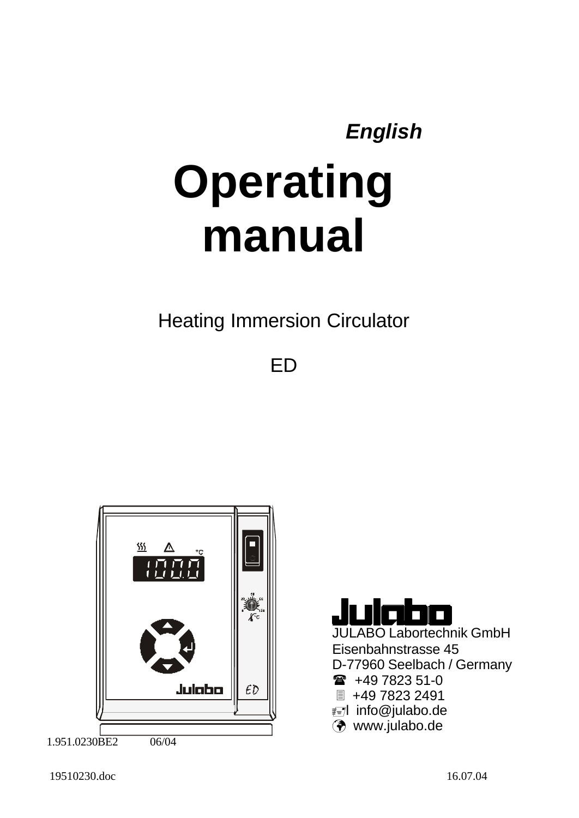# *English* **Operating manual**

Heating Immersion Circulator

ED





JULABO Labortechnik GmbH Eisenbahnstrasse 45 D-77960 Seelbach / Germany  $\circ$  +49 7823 51-0 ■ +49 7823 2491

öl info@julabo.de

¸ www.julabo.de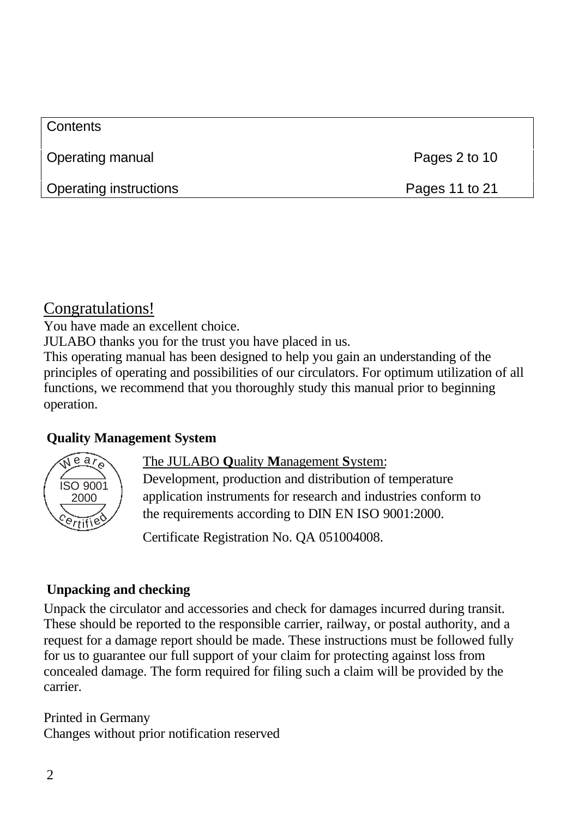| <b>Contents</b>        |                |
|------------------------|----------------|
| Operating manual       | Pages 2 to 10  |
| Operating instructions | Pages 11 to 21 |

#### Congratulations!

You have made an excellent choice.

JULABO thanks you for the trust you have placed in us.

This operating manual has been designed to help you gain an understanding of the principles of operating and possibilities of our circulators. For optimum utilization of all functions, we recommend that you thoroughly study this manual prior to beginning operation.

#### **Quality Management System**



#### The JULABO **Q**uality **M**anagement **S**ystem:

Development, production and distribution of temperature application instruments for research and industries conform to the requirements according to DIN EN ISO 9001:2000.

Certificate Registration No. QA 051004008.

#### **Unpacking and checking**

Unpack the circulator and accessories and check for damages incurred during transit. These should be reported to the responsible carrier, railway, or postal authority, and a request for a damage report should be made. These instructions must be followed fully for us to guarantee our full support of your claim for protecting against loss from concealed damage. The form required for filing such a claim will be provided by the carrier.

Printed in Germany Changes without prior notification reserved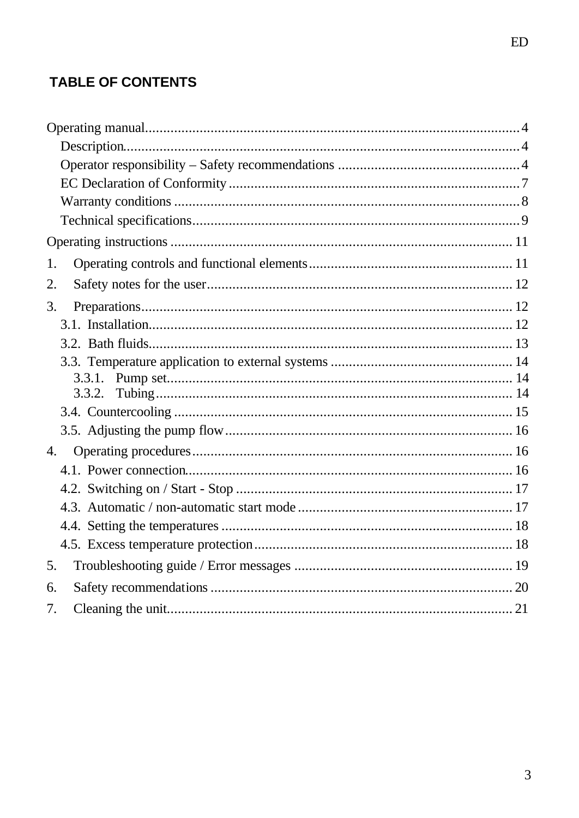# **TABLE OF CONTENTS**

| 1. |  |
|----|--|
| 2. |  |
| 3. |  |
|    |  |
|    |  |
|    |  |
|    |  |
|    |  |
|    |  |
|    |  |
| 4. |  |
|    |  |
|    |  |
|    |  |
|    |  |
|    |  |
| 5. |  |
| 6. |  |
| 7. |  |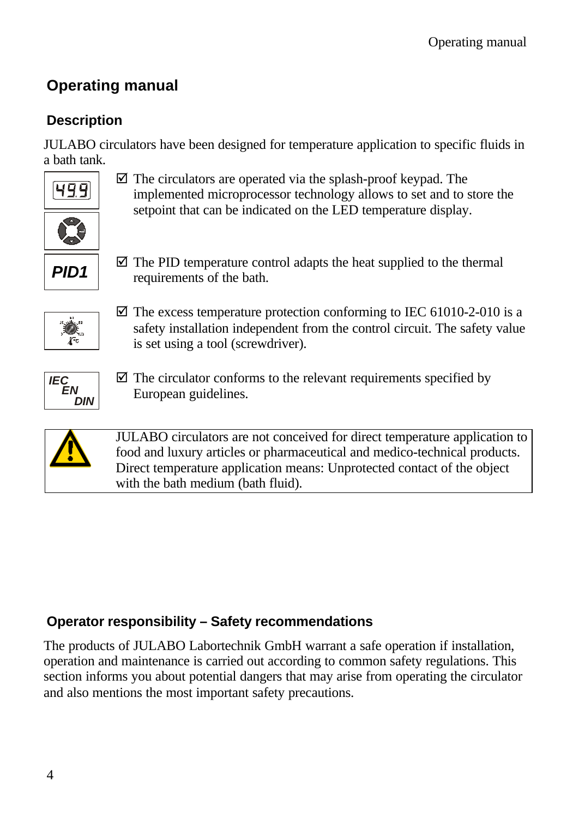# **Operating manual**

# **Description**

JULABO circulators have been designed for temperature application to specific fluids in a bath tank.



 $\triangledown$  The circulators are operated via the splash-proof keypad. The implemented microprocessor technology allows to set and to store the setpoint that can be indicated on the LED temperature display.



 $\overline{\mathcal{A}}$  The PID temperature control adapts the heat supplied to the thermal requirements of the bath.



 $\boxtimes$  The excess temperature protection conforming to IEC 61010-2-010 is a safety installation independent from the control circuit. The safety value is set using a tool (screwdriver).



 $\overline{\mathcal{A}}$  The circulator conforms to the relevant requirements specified by European guidelines.



JULABO circulators are not conceived for direct temperature application to food and luxury articles or pharmaceutical and medico-technical products. Direct temperature application means: Unprotected contact of the object with the bath medium (bath fluid).

#### **Operator responsibility – Safety recommendations**

The products of JULABO Labortechnik GmbH warrant a safe operation if installation, operation and maintenance is carried out according to common safety regulations. This section informs you about potential dangers that may arise from operating the circulator and also mentions the most important safety precautions.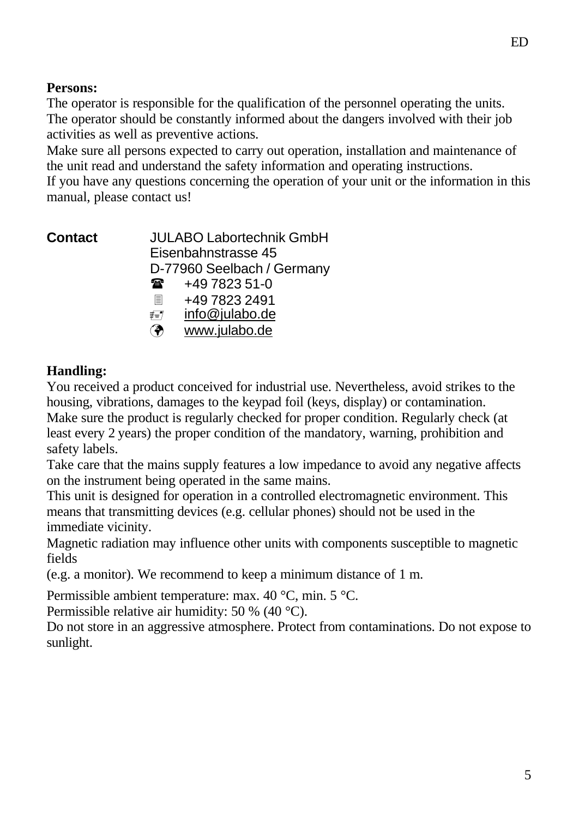#### **Persons:**

The operator is responsible for the qualification of the personnel operating the units. The operator should be constantly informed about the dangers involved with their job activities as well as preventive actions.

Make sure all persons expected to carry out operation, installation and maintenance of the unit read and understand the safety information and operating instructions.

If you have any questions concerning the operation of your unit or the information in this manual, please contact us!

**Contact** JULABO Labortechnik GmbH Eisenbahnstrasse 45 D-77960 Seelbach / Germany  $\circ$  +49 7823 51-0 3 +49 7823 2491 ≢≡7 info@julabo.de ¸ www.julabo.de

#### **Handling:**

You received a product conceived for industrial use. Nevertheless, avoid strikes to the housing, vibrations, damages to the keypad foil (keys, display) or contamination. Make sure the product is regularly checked for proper condition. Regularly check (at least every 2 years) the proper condition of the mandatory, warning, prohibition and safety labels.

Take care that the mains supply features a low impedance to avoid any negative affects on the instrument being operated in the same mains.

This unit is designed for operation in a controlled electromagnetic environment. This means that transmitting devices (e.g. cellular phones) should not be used in the immediate vicinity.

Magnetic radiation may influence other units with components susceptible to magnetic fields

(e.g. a monitor). We recommend to keep a minimum distance of 1 m.

Permissible ambient temperature: max. 40 °C, min. 5 °C.

Permissible relative air humidity: 50 % (40 °C).

Do not store in an aggressive atmosphere. Protect from contaminations. Do not expose to sunlight.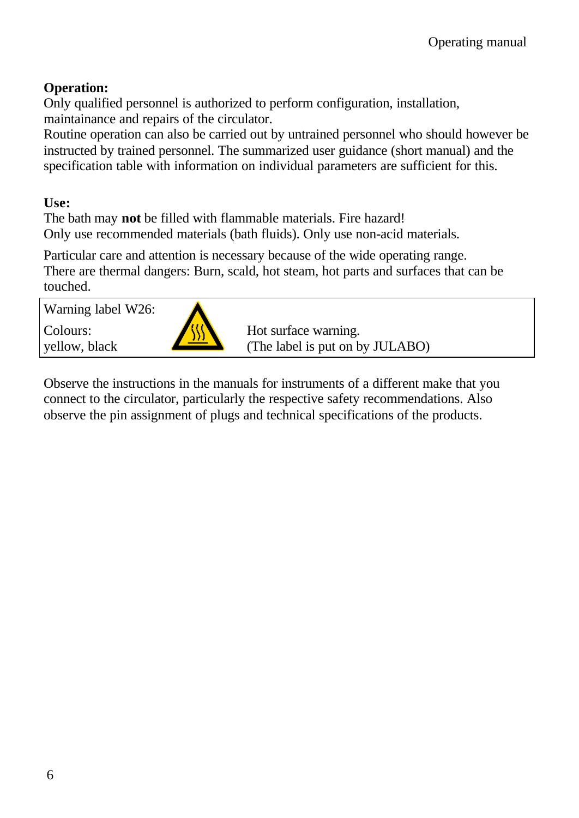#### **Operation:**

Only qualified personnel is authorized to perform configuration, installation, maintainance and repairs of the circulator.

Routine operation can also be carried out by untrained personnel who should however be instructed by trained personnel. The summarized user guidance (short manual) and the specification table with information on individual parameters are sufficient for this.

**Use:**

The bath may **not** be filled with flammable materials. Fire hazard! Only use recommended materials (bath fluids). Only use non-acid materials.

Particular care and attention is necessary because of the wide operating range. There are thermal dangers: Burn, scald, hot steam, hot parts and surfaces that can be touched.

Warning label W26: Colours: yellow, black Hot surface warning. (The label is put on by JULABO)

Observe the instructions in the manuals for instruments of a different make that you connect to the circulator, particularly the respective safety recommendations. Also observe the pin assignment of plugs and technical specifications of the products.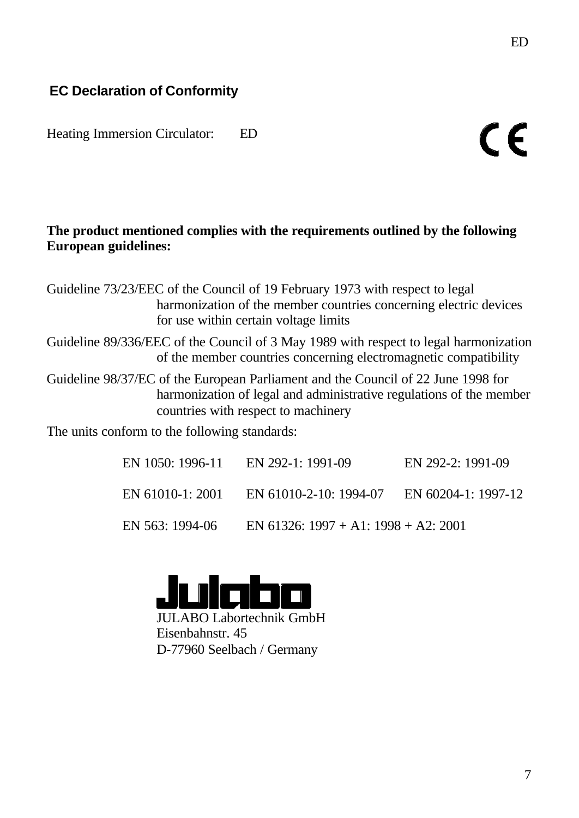Heating Immersion Circulator: ED

#### **The product mentioned complies with the requirements outlined by the following European guidelines:**

Guideline 73/23/EEC of the Council of 19 February 1973 with respect to legal harmonization of the member countries concerning electric devices for use within certain voltage limits

Guideline 89/336/EEC of the Council of 3 May 1989 with respect to legal harmonization of the member countries concerning electromagnetic compatibility

Guideline 98/37/EC of the European Parliament and the Council of 22 June 1998 for harmonization of legal and administrative regulations of the member countries with respect to machinery

The units conform to the following standards:

| EN 1050: 1996-11 | EN 292-1: 1991-09                    | EN 292-2: 1991-09   |
|------------------|--------------------------------------|---------------------|
| EN 61010-1: 2001 | EN 61010-2-10: 1994-07               | EN 60204-1: 1997-12 |
| EN 563: 1994-06  | EN 61326: 1997 + A1: 1998 + A2: 2001 |                     |



JULABO Labortechnik GmbH Eisenbahnstr. 45 D-77960 Seelbach / Germany

 $\epsilon$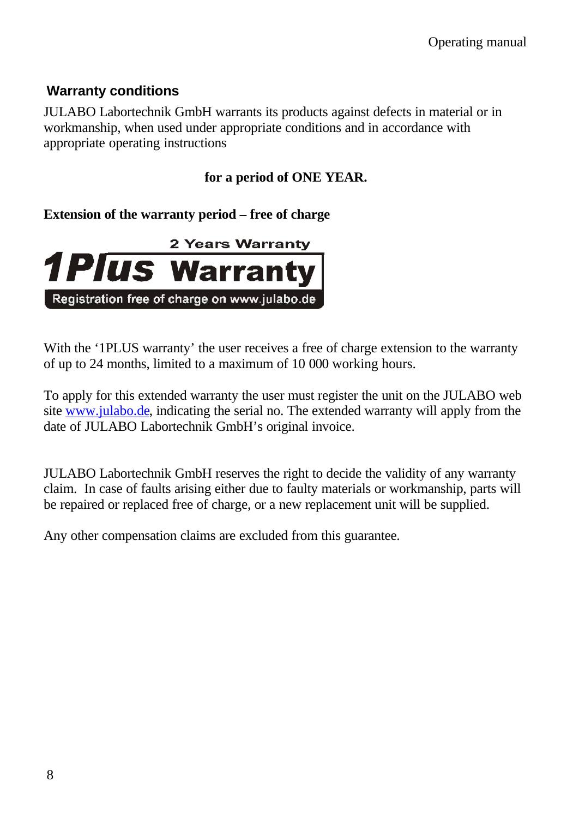#### **Warranty conditions**

JULABO Labortechnik GmbH warrants its products against defects in material or in workmanship, when used under appropriate conditions and in accordance with appropriate operating instructions

#### **for a period of ONE YEAR.**

#### **Extension of the warranty period – free of charge**



With the '1PLUS warranty' the user receives a free of charge extension to the warranty of up to 24 months, limited to a maximum of 10 000 working hours.

To apply for this extended warranty the user must register the unit on the JULABO web site www.julabo.de, indicating the serial no. The extended warranty will apply from the date of JULABO Labortechnik GmbH's original invoice.

JULABO Labortechnik GmbH reserves the right to decide the validity of any warranty claim. In case of faults arising either due to faulty materials or workmanship, parts will be repaired or replaced free of charge, or a new replacement unit will be supplied.

Any other compensation claims are excluded from this guarantee.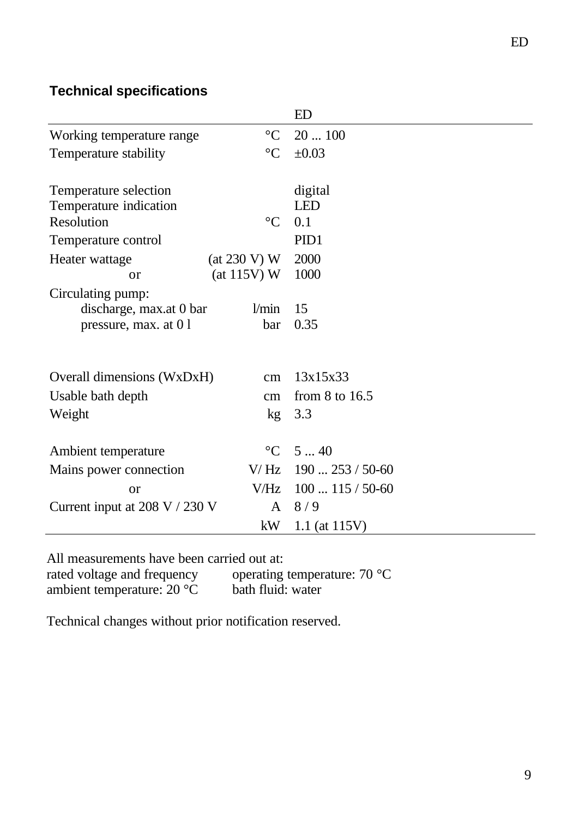#### **Technical specifications**

|                                                         |                 | ED               |
|---------------------------------------------------------|-----------------|------------------|
| Working temperature range                               | $\rm ^{\circ}C$ | 20100            |
| Temperature stability                                   | $\rm ^{\circ}C$ | $\pm 0.03$       |
|                                                         |                 |                  |
| Temperature selection                                   |                 | digital          |
| Temperature indication                                  |                 | <b>LED</b>       |
| Resolution                                              | $\rm ^{\circ}C$ | 0.1              |
| Temperature control                                     |                 | PID1             |
| Heater wattage                                          | (at 230 V) W    | 2000             |
| <sub>or</sub>                                           | (at 115V) W     | 1000             |
| Circulating pump:                                       |                 |                  |
| discharge, max.at 0 bar                                 | 1/min           | 15               |
| pressure, max. at 01                                    | bar             | 0.35             |
|                                                         |                 |                  |
|                                                         |                 |                  |
| Overall dimensions (WxDxH)                              | cm              | 13x15x33         |
| Usable bath depth<br>cm                                 |                 | from $8$ to 16.5 |
| Weight<br>kg <sub>1</sub>                               |                 | 3.3              |
|                                                         |                 |                  |
| Ambient temperature                                     | $\rm ^{\circ}C$ | 540              |
| V/Hz<br>Mains power connection                          |                 | $190253/50-60$   |
| <b>or</b>                                               | V/Hz            | $100115/50-60$   |
| Current input at $208 \text{ V}$ / $230 \text{ V}$<br>A |                 | 8/9              |
|                                                         | kW              | 1.1 (at $115V$ ) |

All measurements have been carried out at:<br>rated voltage and frequency operating

ambient temperature:  $20^{\circ}$ C

operating temperature: 70 °C<br>bath fluid: water

Technical changes without prior notification reserved.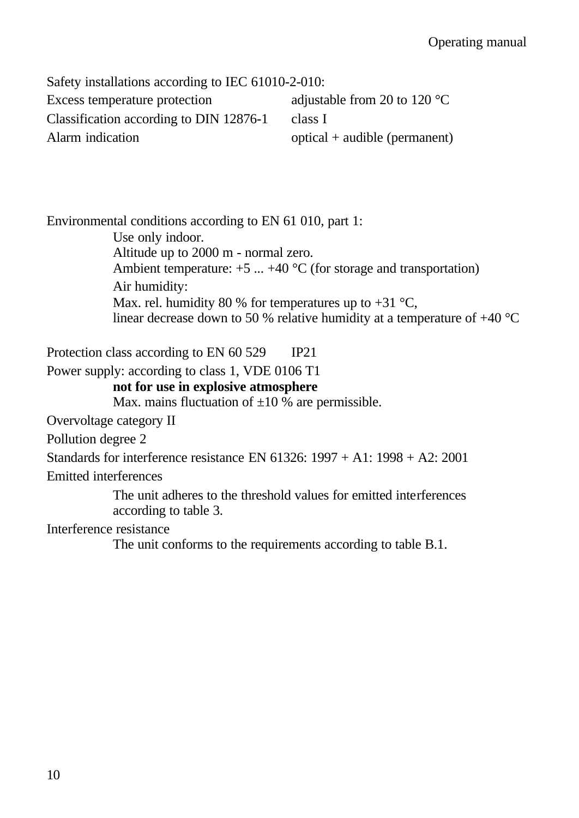Safety installations according to IEC 61010-2-010: Excess temperature protection adjustable from 20 to 120 °C Classification according to DIN 12876-1 class I Alarm indication optical + audible (permanent)

Environmental conditions according to EN 61 010, part 1:

Use only indoor. Altitude up to 2000 m - normal zero. Ambient temperature:  $+5$  ...  $+40$  °C (for storage and transportation) Air humidity: Max. rel. humidity 80 % for temperatures up to  $+31$  °C, linear decrease down to 50 % relative humidity at a temperature of +40 °C

Protection class according to EN 60 529 IP21

Power supply: according to class 1, VDE 0106 T1

#### **not for use in explosive atmosphere**

Max. mains fluctuation of  $\pm 10$  % are permissible.

Overvoltage category II

Pollution degree 2

Standards for interference resistance EN 61326: 1997 + A1: 1998 + A2: 2001 Emitted interferences

> The unit adheres to the threshold values for emitted interferences according to table 3.

Interference resistance

The unit conforms to the requirements according to table B.1.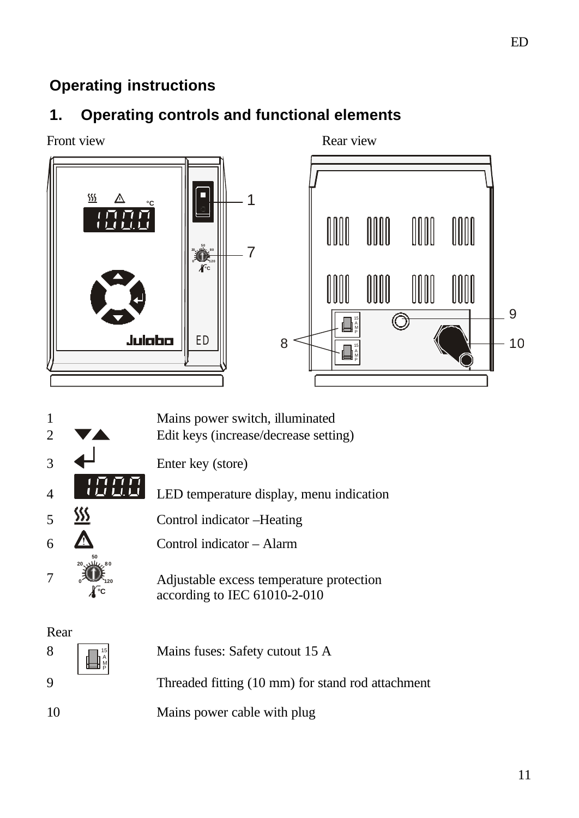# **Operating instructions**

# **1. Operating controls and functional elements**





 $\begin{array}{c} 8 \\ 15 \\ 14 \\ 16 \\ 18 \\ 19 \\ 19 \end{array}$ Mains fuses: Safety cutout 15 A 9 Threaded fitting (10 mm) for stand rod attachment 10 Mains power cable with plug

ED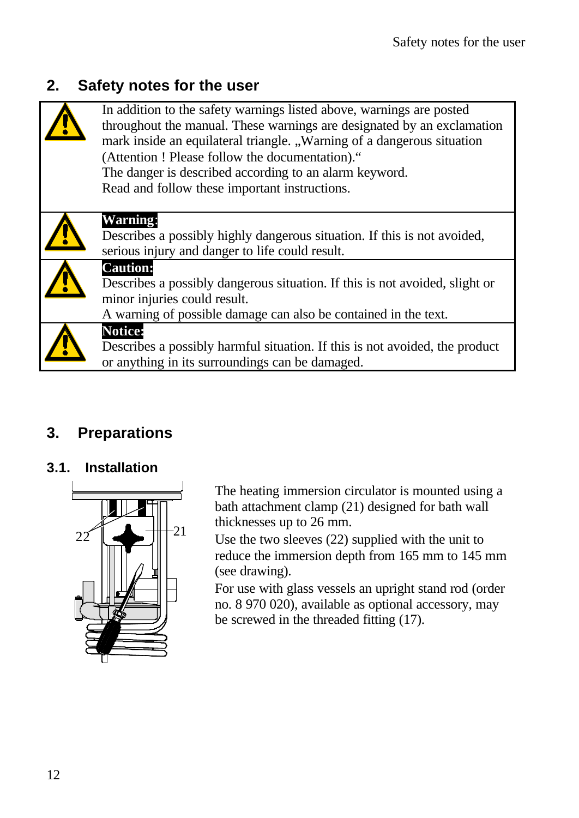# **2. Safety notes for the user**

| In addition to the safety warnings listed above, warnings are posted<br>throughout the manual. These warnings are designated by an exclamation<br>mark inside an equilateral triangle. "Warning of a dangerous situation<br>(Attention ! Please follow the documentation)."<br>The danger is described according to an alarm keyword.<br>Read and follow these important instructions. |
|----------------------------------------------------------------------------------------------------------------------------------------------------------------------------------------------------------------------------------------------------------------------------------------------------------------------------------------------------------------------------------------|
| <b>Warning:</b><br>Describes a possibly highly dangerous situation. If this is not avoided,<br>serious injury and danger to life could result.                                                                                                                                                                                                                                         |
| <b>Caution:</b><br>Describes a possibly dangerous situation. If this is not avoided, slight or<br>minor injuries could result.<br>A warning of possible damage can also be contained in the text.                                                                                                                                                                                      |
| <b>Notice:</b><br>Describes a possibly harmful situation. If this is not avoided, the product<br>or anything in its surroundings can be damaged.                                                                                                                                                                                                                                       |

# **3. Preparations**

#### **3.1. Installation**



The heating immersion circulator is mounted using a bath attachment clamp (21) designed for bath wall thicknesses up to 26 mm.

Use the two sleeves (22) supplied with the unit to reduce the immersion depth from 165 mm to 145 mm (see drawing).

For use with glass vessels an upright stand rod (order no. 8 970 020), available as optional accessory, may be screwed in the threaded fitting (17).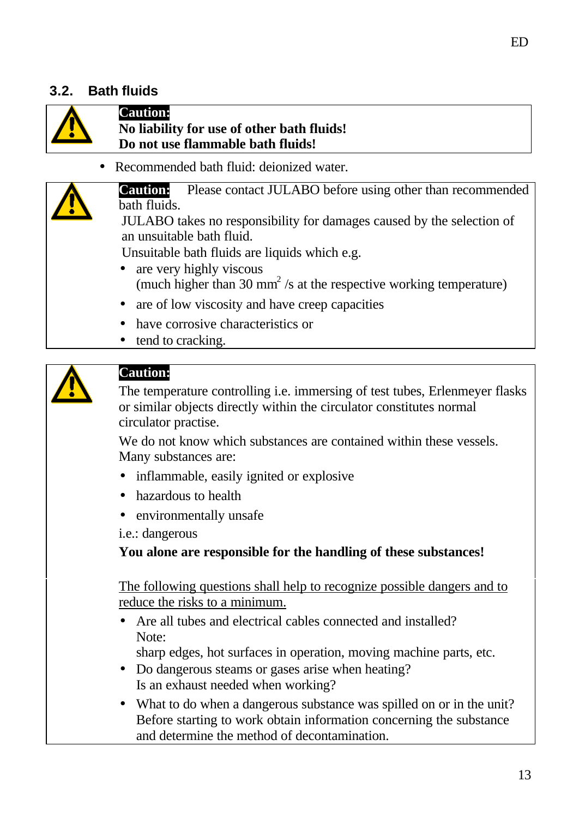#### **3.2. Bath fluids**



#### **Caution: No liability for use of other bath fluids! Do not use flammable bath fluids!**

• Recommended bath fluid: deionized water.

**Caution:** Please contact JULABO before using other than recommended bath fluids.

JULABO takes no responsibility for damages caused by the selection of an unsuitable bath fluid.

Unsuitable bath fluids are liquids which e.g.

- are very highly viscous (much higher than 30 mm<sup>2</sup>/s at the respective working temperature)
- are of low viscosity and have creep capacities
- have corrosive characteristics or
- tend to cracking.



#### **Caution:**

The temperature controlling i.e. immersing of test tubes, Erlenmeyer flasks or similar objects directly within the circulator constitutes normal circulator practise.

We do not know which substances are contained within these vessels. Many substances are:

- inflammable, easily ignited or explosive
- hazardous to health
- environmentally unsafe

i.e.: dangerous

**You alone are responsible for the handling of these substances!**

The following questions shall help to recognize possible dangers and to reduce the risks to a minimum.

• Are all tubes and electrical cables connected and installed? Note:

sharp edges, hot surfaces in operation, moving machine parts, etc.

- Do dangerous steams or gases arise when heating? Is an exhaust needed when working?
- What to do when a dangerous substance was spilled on or in the unit? Before starting to work obtain information concerning the substance and determine the method of decontamination.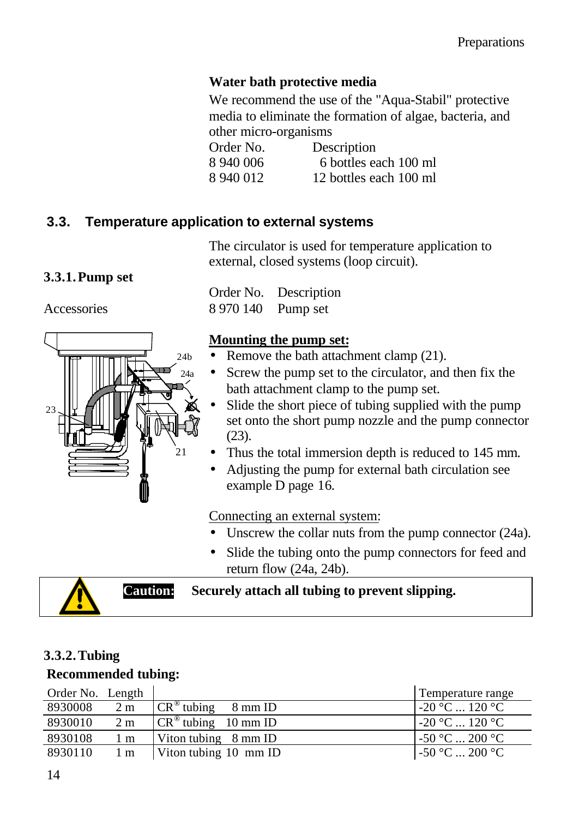#### **Water bath protective media**

We recommend the use of the "Aqua-Stabil" protective media to eliminate the formation of algae, bacteria, and other micro-organisms

Order No. Description 8 940 006 6 bottles each 100 ml 8 940 012 12 bottles each 100 ml

# **3.3. Temperature application to external systems**

The circulator is used for temperature application to external, closed systems (loop circuit).

#### **3.3.1.Pump set**

Accessories



Order No. Description 8 970 140 Pump set

#### **Mounting the pump set:**

- Remove the bath attachment clamp (21).
- Screw the pump set to the circulator, and then fix the bath attachment clamp to the pump set.
- Slide the short piece of tubing supplied with the pump set onto the short pump nozzle and the pump connector (23).
- Thus the total immersion depth is reduced to 145 mm.
- Adjusting the pump for external bath circulation see example D page 16.

Connecting an external system:

- Unscrew the collar nuts from the pump connector (24a).
- Slide the tubing onto the pump connectors for feed and return flow (24a, 24b).



**Caution: Securely attach all tubing to prevent slipping.**

#### **3.3.2.Tubing**

#### **Recommended tubing:**

| Order No. Length |                |                                              | Temperature range |
|------------------|----------------|----------------------------------------------|-------------------|
| 8930008          | 2 <sub>m</sub> | $\overline{CR}^{\circledast}$ tubing 8 mm ID | $-20$ °C  120 °C  |
| 8930010          | 2 <sub>m</sub> | $\overline{CR}^{\circledR}$ tubing 10 mm ID  | $-20$ °C  120 °C  |
| 8930108          | $1 \text{ m}$  | Viton tubing $8 \text{ mm}$ ID               | $-50 °C  200 °C$  |
| 8930110          | $1 \text{ m}$  | Viton tubing 10 mm ID                        | $-50 °C  200 °C$  |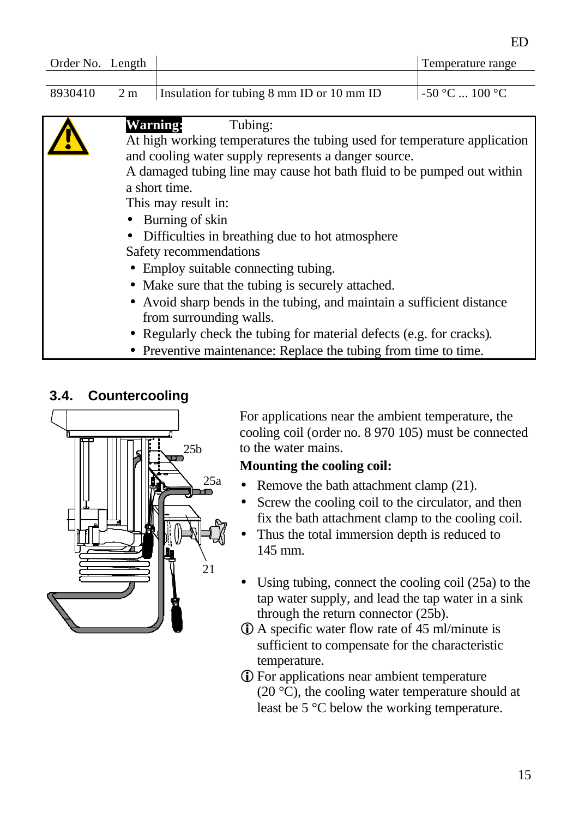| Order No. Length |                                                                        |                                                                          | Temperature range |
|------------------|------------------------------------------------------------------------|--------------------------------------------------------------------------|-------------------|
|                  |                                                                        |                                                                          |                   |
| 8930410          | 2 <sub>m</sub>                                                         | Insulation for tubing 8 mm ID or 10 mm ID                                | $-50$ °C  100 °C  |
|                  |                                                                        |                                                                          |                   |
|                  | <b>Warning:</b>                                                        | Tubing:                                                                  |                   |
|                  |                                                                        | At high working temperatures the tubing used for temperature application |                   |
|                  |                                                                        | and cooling water supply represents a danger source.                     |                   |
|                  | A damaged tubing line may cause hot bath fluid to be pumped out within |                                                                          |                   |
|                  | a short time.                                                          |                                                                          |                   |
|                  | This may result in:                                                    |                                                                          |                   |
|                  |                                                                        | Burning of skin                                                          |                   |
|                  |                                                                        | Difficulties in breathing due to hot atmosphere                          |                   |
|                  |                                                                        | Safety recommendations                                                   |                   |
|                  |                                                                        | • Employ suitable connecting tubing.                                     |                   |
|                  |                                                                        | • Make sure that the tubing is securely attached.                        |                   |
|                  |                                                                        | • Avoid sharp bends in the tubing, and maintain a sufficient distance    |                   |
|                  |                                                                        | from surrounding walls.                                                  |                   |
|                  |                                                                        | • Regularly check the tubing for material defects (e.g. for cracks).     |                   |
|                  |                                                                        | • Preventive maintenance: Replace the tubing from time to time.          |                   |

#### **3.4. Countercooling**



For applications near the ambient temperature, the cooling coil (order no. 8 970 105) must be connected to the water mains.

#### **Mounting the cooling coil:**

- Remove the bath attachment clamp (21).
- Screw the cooling coil to the circulator, and then fix the bath attachment clamp to the cooling coil.
- Thus the total immersion depth is reduced to 145 mm.
- Using tubing, connect the cooling coil (25a) to the tap water supply, and lead the tap water in a sink through the return connector (25b).
- $\Phi$  A specific water flow rate of 45 ml/minute is sufficient to compensate for the characteristic temperature.
- **i** For applications near ambient temperature (20 $\degree$ C), the cooling water temperature should at least be 5 °C below the working temperature.

ED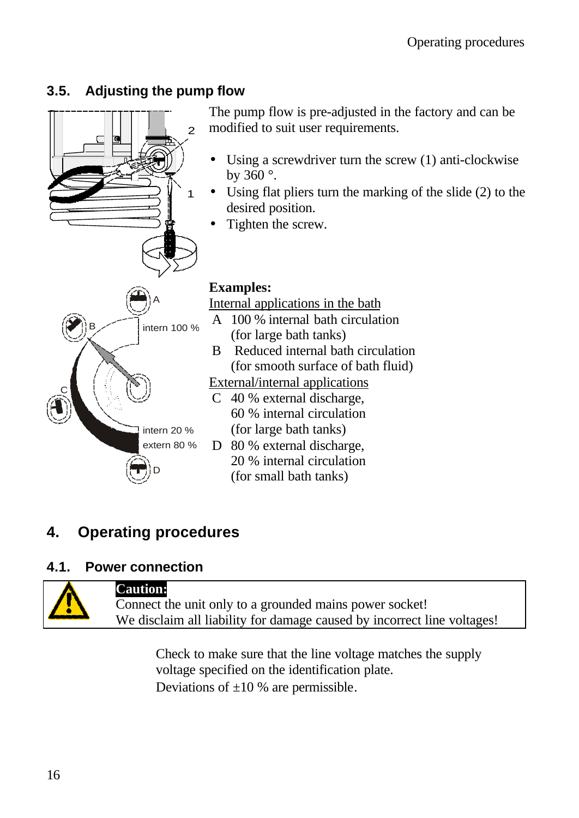### **3.5. Adjusting the pump flow**



# **4. Operating procedures**

#### **4.1. Power connection**



#### **Caution:**

Connect the unit only to a grounded mains power socket! We disclaim all liability for damage caused by incorrect line voltages!

Check to make sure that the line voltage matches the supply voltage specified on the identification plate. Deviations of  $\pm 10$  % are permissible.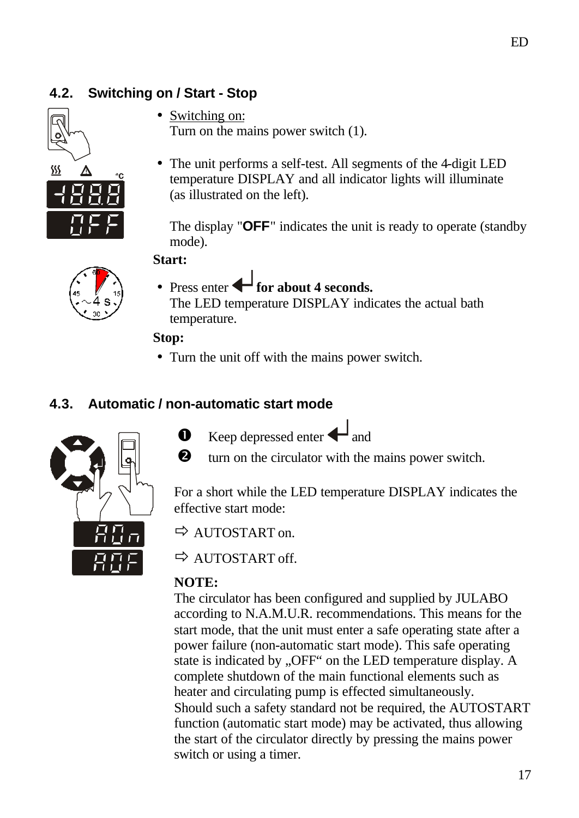### **4.2. Switching on / Start - Stop**



- Switching on: Turn on the mains power switch (1).
- The unit performs a self-test. All segments of the 4-digit LED temperature DISPLAY and all indicator lights will illuminate (as illustrated on the left).

The display "**OFF**" indicates the unit is ready to operate (standby mode).

#### **Start:**



• Press enter **for about 4 seconds.** 

The LED temperature DISPLAY indicates the actual bath temperature.

#### **Stop:**

• Turn the unit off with the mains power switch.

#### **4.3. Automatic / non-automatic start mode**



- $\bullet$  Keep depressed enter  $\bullet$  and
- **Q** turn on the circulator with the mains power switch.

For a short while the LED temperature DISPLAY indicates the effective start mode:

 $\Rightarrow$  AUTOSTART on.

ð AUTOSTART off.

#### **NOTE:**

The circulator has been configured and supplied by JULABO according to N.A.M.U.R. recommendations. This means for the start mode, that the unit must enter a safe operating state after a power failure (non-automatic start mode). This safe operating state is indicated by "OFF" on the LED temperature display. A complete shutdown of the main functional elements such as heater and circulating pump is effected simultaneously. Should such a safety standard not be required, the AUTOSTART function (automatic start mode) may be activated, thus allowing the start of the circulator directly by pressing the mains power switch or using a timer.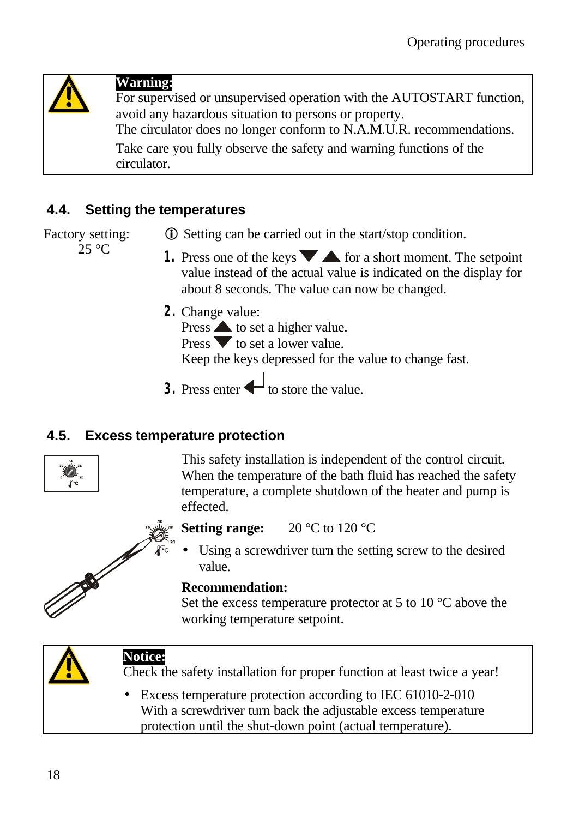

### **Warning:**

For supervised or unsupervised operation with the AUTOSTART function, avoid any hazardous situation to persons or property. The circulator does no longer conform to N.A.M.U.R. recommendations.

Take care you fully observe the safety and warning functions of the

circulator.

### **4.4. Setting the temperatures**

Factory setting: **i** Setting can be carried out in the start/stop condition.

25 °C

- **1.** Press one of the keys  $\blacktriangleright$  for a short moment. The setpoint value instead of the actual value is indicated on the display for about 8 seconds. The value can now be changed.
- **2.** Change value:

Press  $\triangle$  to set a higher value.

Press  $\blacktriangledown$  to set a lower value.

Keep the keys depressed for the value to change fast.

**3.** Press enter  $\leftarrow$  to store the value.

#### **4.5. Excess temperature protection**



This safety installation is independent of the control circuit. When the temperature of the bath fluid has reached the safety temperature, a complete shutdown of the heater and pump is effected.



# **Setting range:** 20 °C to 120 °C

Using a screwdriver turn the setting screw to the desired value.

#### **Recommendation:**

Set the excess temperature protector at 5 to 10  $^{\circ}$ C above the working temperature setpoint.



# **Notice:**

Check the safety installation for proper function at least twice a year!

Excess temperature protection according to IEC 61010-2-010 With a screwdriver turn back the adjustable excess temperature protection until the shut-down point (actual temperature).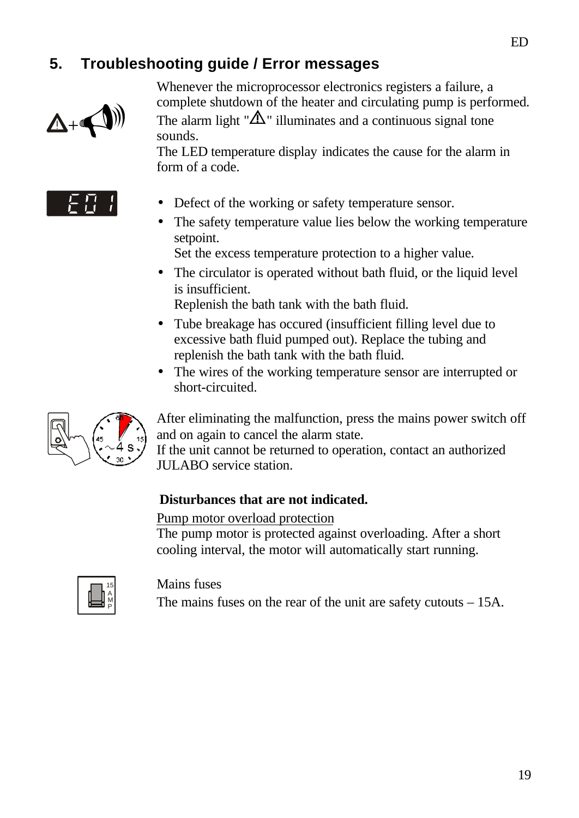# **5. Troubleshooting guide / Error messages**



Whenever the microprocessor electronics registers a failure, a complete shutdown of the heater and circulating pump is performed. The alarm light " $\Delta$ " illuminates and a continuous signal tone sounds.

The LED temperature display indicates the cause for the alarm in form of a code.



- Defect of the working or safety temperature sensor.
- The safety temperature value lies below the working temperature setpoint.
	- Set the excess temperature protection to a higher value.
- The circulator is operated without bath fluid, or the liquid level is insufficient.
	- Replenish the bath tank with the bath fluid.
- Tube breakage has occured (insufficient filling level due to excessive bath fluid pumped out). Replace the tubing and replenish the bath tank with the bath fluid.
- The wires of the working temperature sensor are interrupted or short-circuited.



After eliminating the malfunction, press the mains power switch off and on again to cancel the alarm state. If the unit cannot be returned to operation, contact an authorized JULABO service station.

#### **Disturbances that are not indicated.**

#### Pump motor overload protection

The pump motor is protected against overloading. After a short cooling interval, the motor will automatically start running.



Mains fuses

The mains fuses on the rear of the unit are safety cutouts – 15A.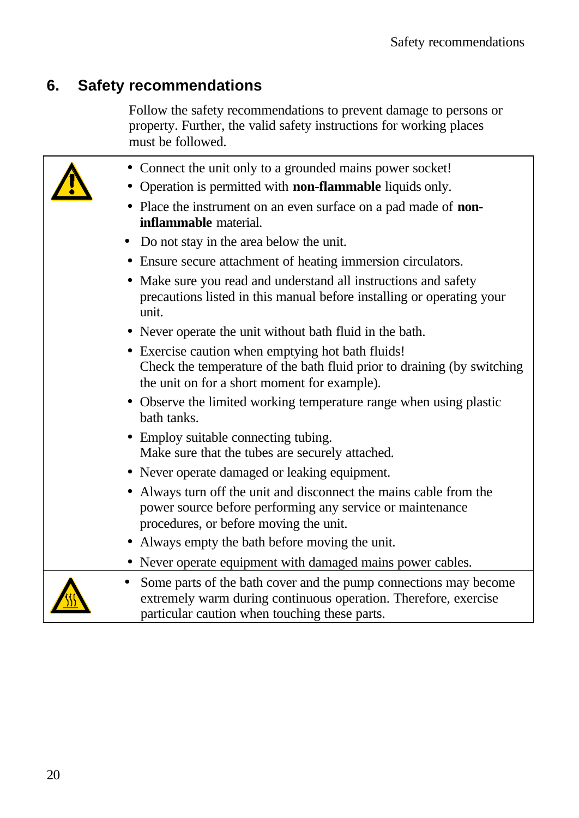# **6. Safety recommendations**

Follow the safety recommendations to prevent damage to persons or property. Further, the valid safety instructions for working places must be followed.

| • Connect the unit only to a grounded mains power socket!                                                                                                                            |
|--------------------------------------------------------------------------------------------------------------------------------------------------------------------------------------|
| Operation is permitted with non-flammable liquids only.                                                                                                                              |
| Place the instrument on an even surface on a pad made of <b>non-</b><br><b>inflammable</b> material.                                                                                 |
| Do not stay in the area below the unit.                                                                                                                                              |
| • Ensure secure attachment of heating immersion circulators.                                                                                                                         |
| Make sure you read and understand all instructions and safety<br>$\bullet$<br>precautions listed in this manual before installing or operating your<br>unit.                         |
| • Never operate the unit without bath fluid in the bath.                                                                                                                             |
| • Exercise caution when emptying hot bath fluids!<br>Check the temperature of the bath fluid prior to draining (by switching<br>the unit on for a short moment for example).         |
| • Observe the limited working temperature range when using plastic<br>bath tanks.                                                                                                    |
| • Employ suitable connecting tubing.<br>Make sure that the tubes are securely attached.                                                                                              |
| • Never operate damaged or leaking equipment.                                                                                                                                        |
| • Always turn off the unit and disconnect the mains cable from the<br>power source before performing any service or maintenance<br>procedures, or before moving the unit.            |
| Always empty the bath before moving the unit.                                                                                                                                        |
| • Never operate equipment with damaged mains power cables.                                                                                                                           |
| Some parts of the bath cover and the pump connections may become<br>extremely warm during continuous operation. Therefore, exercise<br>particular caution when touching these parts. |